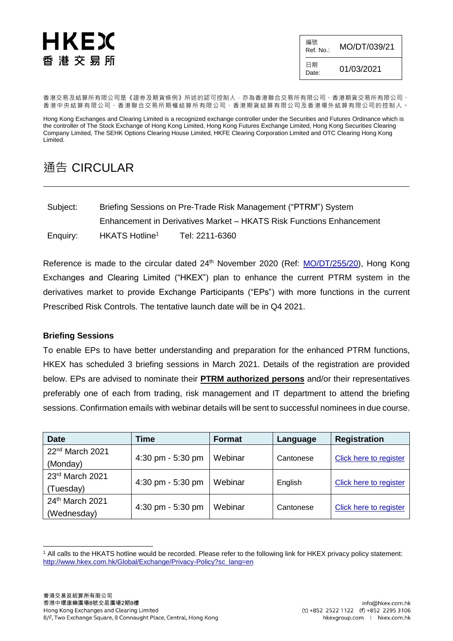# HKEX 香 港 交 易 所

編號  $R_{\text{Ref. No.:}}$  MO/DT/039/21 日期  $D_{\text{date}:}$  01/03/2021

香港交易及結算所有限公司是《證券及期貨條例》所述的認可控制人,亦為香港聯合交易所有限公司、香港期貨交易所有限公司、 香港中央結算有限公司、香港聯合交易所期權結算所有限公司、香港期貨結算有限公司及香港場外結算有限公司的控制人。

Hong Kong Exchanges and Clearing Limited is a recognized exchange controller under the Securities and Futures Ordinance which is the controller of The Stock Exchange of Hong Kong Limited, Hong Kong Futures Exchange Limited, Hong Kong Securities Clearing Company Limited, The SEHK Options Clearing House Limited, HKFE Clearing Corporation Limited and OTC Clearing Hong Kong Limited.

### 通告 CIRCULAR

| Subject: | Briefing Sessions on Pre-Trade Risk Management ("PTRM") System       |                |  |  |
|----------|----------------------------------------------------------------------|----------------|--|--|
|          | Enhancement in Derivatives Market - HKATS Risk Functions Enhancement |                |  |  |
| Enquiry: | HKATS Hotline <sup>1</sup>                                           | Tel: 2211-6360 |  |  |

Reference is made to the circular dated 24<sup>th</sup> November 2020 (Ref: [MO/DT/255/20\)](https://www.hkex.com.hk/-/media/HKEX-Market/Services/Circulars-and-Notices/Participant-and-Members-Circulars/HKFE/2020/MO_DT_255_20_e.pdf), Hong Kong Exchanges and Clearing Limited ("HKEX") plan to enhance the current PTRM system in the derivatives market to provide Exchange Participants ("EPs") with more functions in the current Prescribed Risk Controls. The tentative launch date will be in Q4 2021.

### **Briefing Sessions**

To enable EPs to have better understanding and preparation for the enhanced PTRM functions, HKEX has scheduled 3 briefing sessions in March 2021. Details of the registration are provided below. EPs are advised to nominate their **PTRM authorized persons** and/or their representatives preferably one of each from trading, risk management and IT department to attend the briefing sessions. Confirmation emails with webinar details will be sent to successful nominees in due course.

| <b>Date</b>                 | Time              | <b>Format</b> | Language  | <b>Registration</b>    |
|-----------------------------|-------------------|---------------|-----------|------------------------|
| 22 <sup>nd</sup> March 2021 |                   | Webinar       | Cantonese | Click here to register |
| (Monday)                    | 4:30 pm - 5:30 pm |               |           |                        |
| 23rd March 2021             |                   | Webinar       | English   | Click here to register |
| (Tuesday)                   | 4:30 pm - 5:30 pm |               |           |                        |
| 24th March 2021             |                   | Webinar       | Cantonese | Click here to register |
| (Wednesday)                 | 4:30 pm - 5:30 pm |               |           |                        |

l <sup>1</sup> All calls to the HKATS hotline would be recorded. Please refer to the following link for HKEX privacy policy statement: [http://www.hkex.com.hk/Global/Exchange/Privacy-Policy?sc\\_lang=en](http://www.hkex.com.hk/Global/Exchange/Privacy-Policy?sc_lang=en)